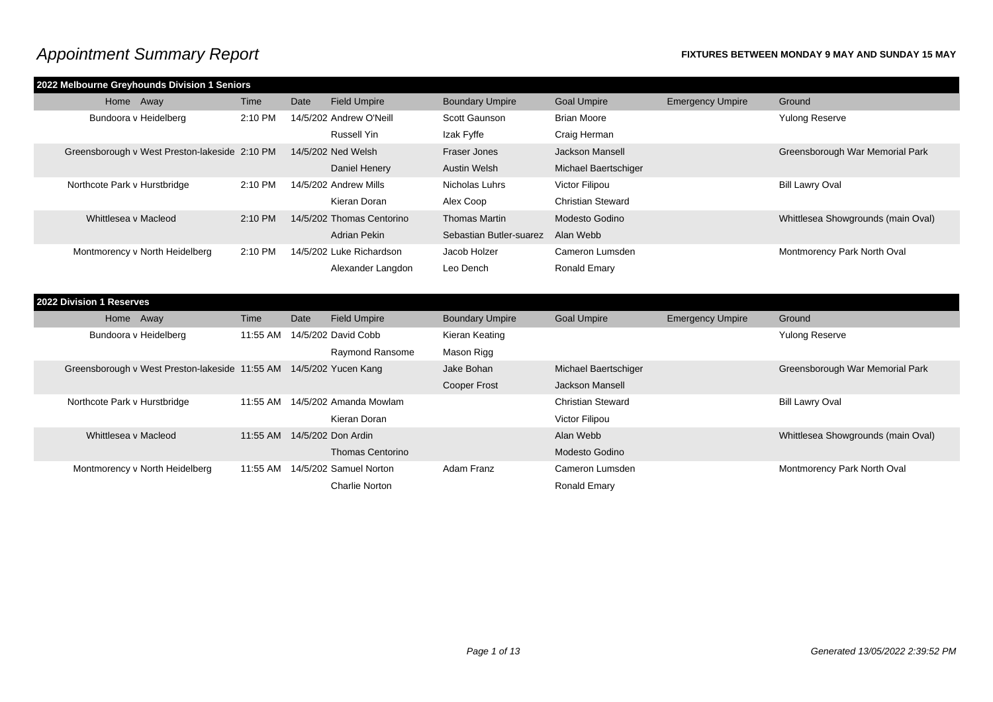|                              | 2022 Melbourne Greyhounds Division 1 Seniors  |         |      |                           |                         |                          |                         |                                    |
|------------------------------|-----------------------------------------------|---------|------|---------------------------|-------------------------|--------------------------|-------------------------|------------------------------------|
| Home Away                    |                                               | Time    | Date | <b>Field Umpire</b>       | <b>Boundary Umpire</b>  | <b>Goal Umpire</b>       | <b>Emergency Umpire</b> | Ground                             |
| Bundoora v Heidelberg        |                                               | 2:10 PM |      | 14/5/202 Andrew O'Neill   | Scott Gaunson           | Brian Moore              |                         | <b>Yulong Reserve</b>              |
|                              |                                               |         |      | Russell Yin               | Izak Fyffe              | Craig Herman             |                         |                                    |
|                              | Greensborough v West Preston-lakeside 2:10 PM |         |      | 14/5/202 Ned Welsh        | Fraser Jones            | Jackson Mansell          |                         | Greensborough War Memorial Park    |
|                              |                                               |         |      | Daniel Henery             | Austin Welsh            | Michael Baertschiger     |                         |                                    |
| Northcote Park v Hurstbridge |                                               | 2:10 PM |      | 14/5/202 Andrew Mills     | Nicholas Luhrs          | Victor Filipou           |                         | <b>Bill Lawry Oval</b>             |
|                              |                                               |         |      | Kieran Doran              | Alex Coop               | <b>Christian Steward</b> |                         |                                    |
| Whittlesea v Macleod         |                                               | 2:10 PM |      | 14/5/202 Thomas Centorino | <b>Thomas Martin</b>    | Modesto Godino           |                         | Whittlesea Showgrounds (main Oval) |
|                              |                                               |         |      | Adrian Pekin              | Sebastian Butler-suarez | Alan Webb                |                         |                                    |
|                              | Montmorency v North Heidelberg                | 2:10 PM |      | 14/5/202 Luke Richardson  | Jacob Holzer            | Cameron Lumsden          |                         | Montmorency Park North Oval        |
|                              |                                               |         |      | Alexander Langdon         | Leo Dench               | Ronald Emary             |                         |                                    |
|                              |                                               |         |      |                           |                         |                          |                         |                                    |

| 2022 Division 1 Reserves     |                                                |          |      |                         |                        |                          |                         |                                    |
|------------------------------|------------------------------------------------|----------|------|-------------------------|------------------------|--------------------------|-------------------------|------------------------------------|
| Home Away                    |                                                | Time     | Date | <b>Field Umpire</b>     | <b>Boundary Umpire</b> | <b>Goal Umpire</b>       | <b>Emergency Umpire</b> | Ground                             |
| Bundoora v Heidelberg        |                                                | 11:55 AM |      | 14/5/202 David Cobb     | Kieran Keating         |                          |                         | <b>Yulong Reserve</b>              |
|                              |                                                |          |      | Raymond Ransome         | Mason Rigg             |                          |                         |                                    |
|                              | Greensborough v West Preston-lakeside 11:55 AM |          |      | 14/5/202 Yucen Kang     | Jake Bohan             | Michael Baertschiger     |                         | Greensborough War Memorial Park    |
|                              |                                                |          |      |                         | <b>Cooper Frost</b>    | Jackson Mansell          |                         |                                    |
| Northcote Park v Hurstbridge |                                                | 11:55 AM |      | 14/5/202 Amanda Mowlam  |                        | <b>Christian Steward</b> |                         | <b>Bill Lawry Oval</b>             |
|                              |                                                |          |      | Kieran Doran            |                        | Victor Filipou           |                         |                                    |
| Whittlesea v Macleod         |                                                | 11:55 AM |      | 14/5/202 Don Ardin      |                        | Alan Webb                |                         | Whittlesea Showgrounds (main Oval) |
|                              |                                                |          |      | <b>Thomas Centorino</b> |                        | Modesto Godino           |                         |                                    |
|                              | Montmorency v North Heidelberg                 | 11:55 AM |      | 14/5/202 Samuel Norton  | Adam Franz             | Cameron Lumsden          |                         | Montmorency Park North Oval        |
|                              |                                                |          |      | Charlie Norton          |                        | Ronald Emary             |                         |                                    |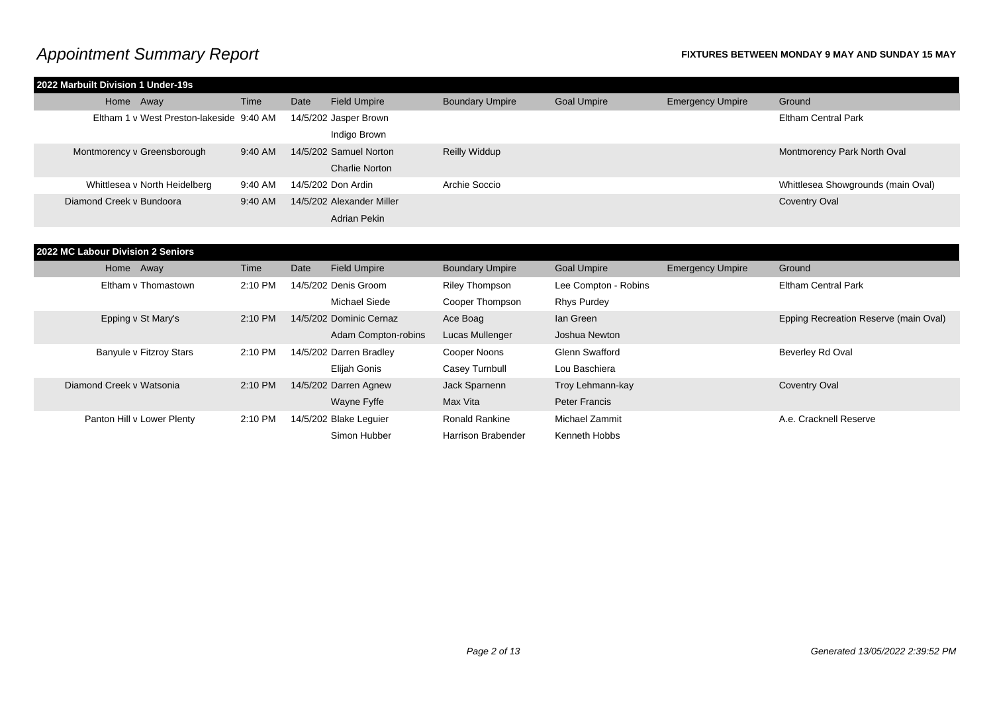| 2022 Marbuilt Division 1 Under-19s       |         |      |                           |                        |                       |                         |                                       |
|------------------------------------------|---------|------|---------------------------|------------------------|-----------------------|-------------------------|---------------------------------------|
| Home Away                                | Time    | Date | <b>Field Umpire</b>       | <b>Boundary Umpire</b> | <b>Goal Umpire</b>    | <b>Emergency Umpire</b> | Ground                                |
| Eltham 1 v West Preston-lakeside 9:40 AM |         |      | 14/5/202 Jasper Brown     |                        |                       |                         | <b>Eltham Central Park</b>            |
|                                          |         |      | Indigo Brown              |                        |                       |                         |                                       |
| Montmorency v Greensborough              | 9:40 AM |      | 14/5/202 Samuel Norton    | <b>Reilly Widdup</b>   |                       |                         | Montmorency Park North Oval           |
|                                          |         |      | <b>Charlie Norton</b>     |                        |                       |                         |                                       |
| Whittlesea v North Heidelberg            | 9:40 AM |      | 14/5/202 Don Ardin        | Archie Soccio          |                       |                         | Whittlesea Showgrounds (main Oval)    |
| Diamond Creek v Bundoora                 | 9:40 AM |      | 14/5/202 Alexander Miller |                        |                       |                         | <b>Coventry Oval</b>                  |
|                                          |         |      | <b>Adrian Pekin</b>       |                        |                       |                         |                                       |
|                                          |         |      |                           |                        |                       |                         |                                       |
| 2022 MC Labour Division 2 Seniors        |         |      |                           |                        |                       |                         |                                       |
|                                          |         |      |                           |                        |                       |                         |                                       |
| Home Away                                | Time    | Date | <b>Field Umpire</b>       | <b>Boundary Umpire</b> | <b>Goal Umpire</b>    | <b>Emergency Umpire</b> | Ground                                |
| Eltham v Thomastown                      | 2:10 PM |      | 14/5/202 Denis Groom      | <b>Riley Thompson</b>  | Lee Compton - Robins  |                         | <b>Eltham Central Park</b>            |
|                                          |         |      | <b>Michael Siede</b>      | Cooper Thompson        | <b>Rhys Purdey</b>    |                         |                                       |
| Epping v St Mary's                       | 2:10 PM |      | 14/5/202 Dominic Cernaz   | Ace Boag               | lan Green             |                         | Epping Recreation Reserve (main Oval) |
|                                          |         |      | Adam Compton-robins       | Lucas Mullenger        | Joshua Newton         |                         |                                       |
| Banyule v Fitzroy Stars                  | 2:10 PM |      | 14/5/202 Darren Bradley   | Cooper Noons           | <b>Glenn Swafford</b> |                         | Beverley Rd Oval                      |
|                                          |         |      | Elijah Gonis              | Casey Turnbull         | Lou Baschiera         |                         |                                       |
| Diamond Creek v Watsonia                 | 2:10 PM |      | 14/5/202 Darren Agnew     | Jack Sparnenn          | Troy Lehmann-kay      |                         | <b>Coventry Oval</b>                  |
|                                          |         |      | Wayne Fyffe               | Max Vita               | <b>Peter Francis</b>  |                         |                                       |
| Panton Hill v Lower Plenty               | 2:10 PM |      | 14/5/202 Blake Leguier    | <b>Ronald Rankine</b>  | Michael Zammit        |                         | A.e. Cracknell Reserve                |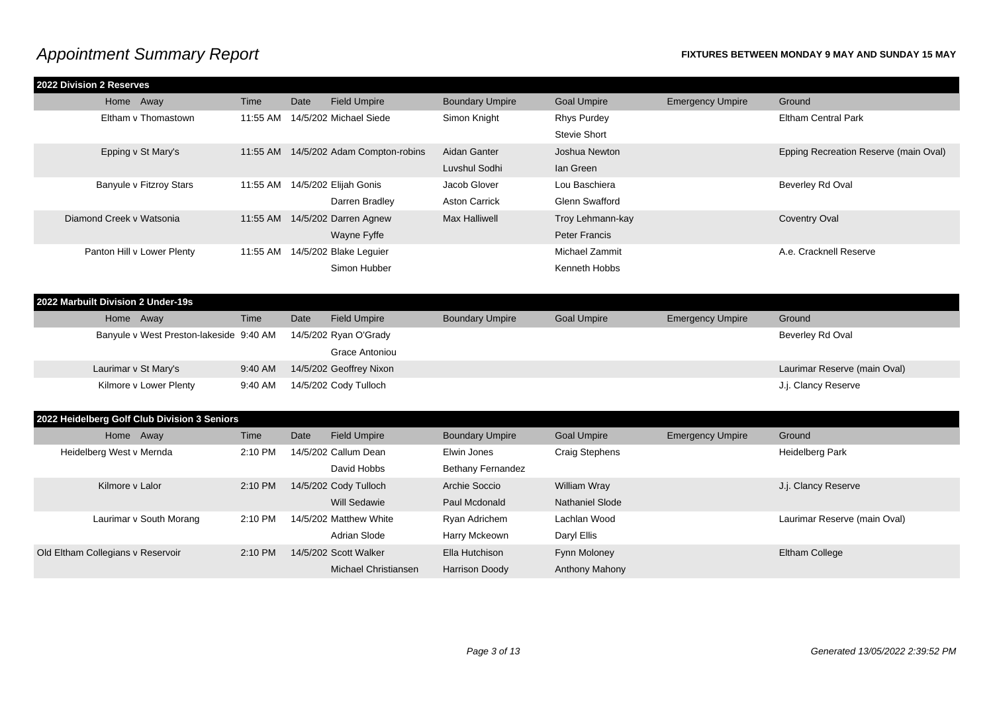| 2022 Division 2 Reserves           |                                              |          |      |                                       |                          |                       |                         |                                       |
|------------------------------------|----------------------------------------------|----------|------|---------------------------------------|--------------------------|-----------------------|-------------------------|---------------------------------------|
| Home Away                          |                                              | Time     | Date | <b>Field Umpire</b>                   | <b>Boundary Umpire</b>   | <b>Goal Umpire</b>    | <b>Emergency Umpire</b> | Ground                                |
|                                    | Eltham v Thomastown                          |          |      | 11:55 AM 14/5/202 Michael Siede       | Simon Knight             | <b>Rhys Purdey</b>    |                         | <b>Eltham Central Park</b>            |
|                                    |                                              |          |      |                                       |                          | <b>Stevie Short</b>   |                         |                                       |
|                                    | Epping v St Mary's                           |          |      | 11:55 AM 14/5/202 Adam Compton-robins | Aidan Ganter             | Joshua Newton         |                         | Epping Recreation Reserve (main Oval) |
|                                    |                                              |          |      |                                       | Luvshul Sodhi            | lan Green             |                         |                                       |
|                                    | Banyule v Fitzroy Stars                      |          |      | 11:55 AM 14/5/202 Elijah Gonis        | Jacob Glover             | Lou Baschiera         |                         | Beverley Rd Oval                      |
|                                    |                                              |          |      | Darren Bradley                        | <b>Aston Carrick</b>     | Glenn Swafford        |                         |                                       |
| Diamond Creek v Watsonia           |                                              | 11:55 AM |      | 14/5/202 Darren Agnew                 | <b>Max Halliwell</b>     | Troy Lehmann-kay      |                         | <b>Coventry Oval</b>                  |
|                                    |                                              |          |      | Wayne Fyffe                           |                          | <b>Peter Francis</b>  |                         |                                       |
|                                    | Panton Hill v Lower Plenty                   |          |      | 11:55 AM 14/5/202 Blake Leguier       |                          | Michael Zammit        |                         | A.e. Cracknell Reserve                |
|                                    |                                              |          |      | Simon Hubber                          |                          | Kenneth Hobbs         |                         |                                       |
|                                    |                                              |          |      |                                       |                          |                       |                         |                                       |
| 2022 Marbuilt Division 2 Under-19s |                                              |          |      |                                       |                          |                       |                         |                                       |
| Home Away                          |                                              | Time     | Date | <b>Field Umpire</b>                   | <b>Boundary Umpire</b>   | <b>Goal Umpire</b>    | <b>Emergency Umpire</b> | Ground                                |
|                                    | Banyule v West Preston-lakeside 9:40 AM      |          |      | 14/5/202 Ryan O'Grady                 |                          |                       |                         | Beverley Rd Oval                      |
|                                    |                                              |          |      | Grace Antoniou                        |                          |                       |                         |                                       |
|                                    | Laurimar v St Mary's                         | 9:40 AM  |      | 14/5/202 Geoffrey Nixon               |                          |                       |                         | Laurimar Reserve (main Oval)          |
|                                    | Kilmore v Lower Plenty                       | 9:40 AM  |      | 14/5/202 Cody Tulloch                 |                          |                       |                         | J.j. Clancy Reserve                   |
|                                    |                                              |          |      |                                       |                          |                       |                         |                                       |
|                                    | 2022 Heidelberg Golf Club Division 3 Seniors |          |      |                                       |                          |                       |                         |                                       |
| Home Away                          |                                              | Time     | Date | <b>Field Umpire</b>                   | <b>Boundary Umpire</b>   | <b>Goal Umpire</b>    | <b>Emergency Umpire</b> | Ground                                |
| Heidelberg West v Mernda           |                                              | 2:10 PM  |      | 14/5/202 Callum Dean                  | Elwin Jones              | <b>Craig Stephens</b> |                         | <b>Heidelberg Park</b>                |
|                                    |                                              |          |      | David Hobbs                           | <b>Bethany Fernandez</b> |                       |                         |                                       |
| Kilmore v Lalor                    |                                              | 2:10 PM  |      | 14/5/202 Cody Tulloch                 | Archie Soccio            | <b>William Wray</b>   |                         | J.j. Clancy Reserve                   |
|                                    |                                              |          |      | <b>Will Sedawie</b>                   | Paul Mcdonald            | Nathaniel Slode       |                         |                                       |
|                                    | Laurimar v South Morang                      | 2:10 PM  |      | 14/5/202 Matthew White                | Ryan Adrichem            | Lachlan Wood          |                         | Laurimar Reserve (main Oval)          |
|                                    |                                              |          |      | <b>Adrian Slode</b>                   | Harry Mckeown            | Daryl Ellis           |                         |                                       |
| Old Eltham Collegians v Reservoir  |                                              | 2:10 PM  |      | 14/5/202 Scott Walker                 | Ella Hutchison           | Fynn Moloney          |                         | <b>Eltham College</b>                 |
|                                    |                                              |          |      | Michael Christiansen                  | <b>Harrison Doody</b>    | Anthony Mahony        |                         |                                       |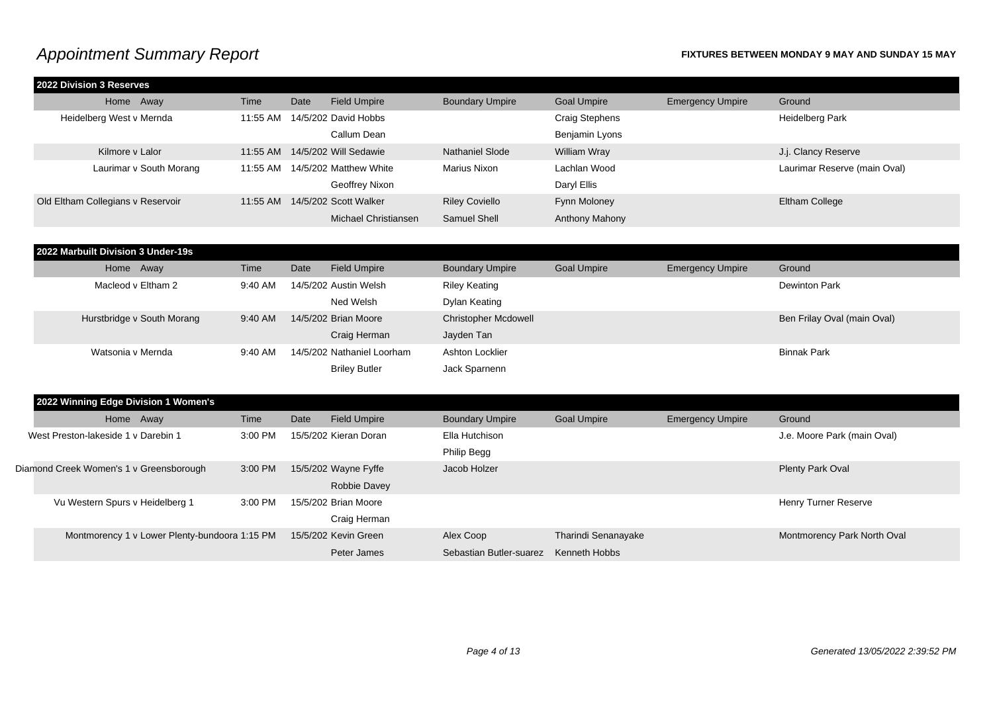| Home Away<br>Heidelberg West v Mernda         | Time     | Date |                                 |                             |                       |                         |                              |
|-----------------------------------------------|----------|------|---------------------------------|-----------------------------|-----------------------|-------------------------|------------------------------|
|                                               |          |      | <b>Field Umpire</b>             | <b>Boundary Umpire</b>      | <b>Goal Umpire</b>    | <b>Emergency Umpire</b> | Ground                       |
|                                               | 11:55 AM |      | 14/5/202 David Hobbs            |                             | <b>Craig Stephens</b> |                         | Heidelberg Park              |
|                                               |          |      | Callum Dean                     |                             | Benjamin Lyons        |                         |                              |
| Kilmore v Lalor                               | 11:55 AM |      | 14/5/202 Will Sedawie           | <b>Nathaniel Slode</b>      | <b>William Wray</b>   |                         | J.j. Clancy Reserve          |
| Laurimar v South Morang                       |          |      | 11:55 AM 14/5/202 Matthew White | <b>Marius Nixon</b>         | Lachlan Wood          |                         | Laurimar Reserve (main Oval) |
|                                               |          |      | Geoffrey Nixon                  |                             | Daryl Ellis           |                         |                              |
| Old Eltham Collegians v Reservoir             | 11:55 AM |      | 14/5/202 Scott Walker           | <b>Riley Coviello</b>       | Fynn Moloney          |                         | <b>Eltham College</b>        |
|                                               |          |      | Michael Christiansen            | Samuel Shell                | Anthony Mahony        |                         |                              |
|                                               |          |      |                                 |                             |                       |                         |                              |
| 2022 Marbuilt Division 3 Under-19s            |          |      |                                 |                             |                       |                         |                              |
| Home Away                                     | Time     | Date | <b>Field Umpire</b>             | <b>Boundary Umpire</b>      | <b>Goal Umpire</b>    | <b>Emergency Umpire</b> | Ground                       |
| Macleod v Eltham 2                            | 9:40 AM  |      | 14/5/202 Austin Welsh           | <b>Riley Keating</b>        |                       |                         | <b>Dewinton Park</b>         |
|                                               |          |      | Ned Welsh                       | Dylan Keating               |                       |                         |                              |
| Hurstbridge v South Morang                    | 9:40 AM  |      | 14/5/202 Brian Moore            | <b>Christopher Mcdowell</b> |                       |                         | Ben Frilay Oval (main Oval)  |
|                                               |          |      | Craig Herman                    | Jayden Tan                  |                       |                         |                              |
| Watsonia v Mernda                             | 9:40 AM  |      | 14/5/202 Nathaniel Loorham      | Ashton Locklier             |                       |                         | <b>Binnak Park</b>           |
|                                               |          |      | <b>Briley Butler</b>            | Jack Sparnenn               |                       |                         |                              |
|                                               |          |      |                                 |                             |                       |                         |                              |
| 2022 Winning Edge Division 1 Women's          |          |      |                                 |                             |                       |                         |                              |
| Home Away                                     | Time     | Date | <b>Field Umpire</b>             | <b>Boundary Umpire</b>      | <b>Goal Umpire</b>    | <b>Emergency Umpire</b> | Ground                       |
| West Preston-lakeside 1 v Darebin 1           | 3:00 PM  |      | 15/5/202 Kieran Doran           | Ella Hutchison              |                       |                         | J.e. Moore Park (main Oval)  |
|                                               |          |      |                                 | Philip Begg                 |                       |                         |                              |
| Diamond Creek Women's 1 v Greensborough       | 3:00 PM  |      | 15/5/202 Wayne Fyffe            | Jacob Holzer                |                       |                         | Plenty Park Oval             |
|                                               |          |      | <b>Robbie Davey</b>             |                             |                       |                         |                              |
| Vu Western Spurs v Heidelberg 1               | 3:00 PM  |      | 15/5/202 Brian Moore            |                             |                       |                         | Henry Turner Reserve         |
|                                               |          |      | Craig Herman                    |                             |                       |                         |                              |
| Montmorency 1 v Lower Plenty-bundoora 1:15 PM |          |      | 15/5/202 Kevin Green            | Alex Coop                   | Tharindi Senanayake   |                         | Montmorency Park North Oval  |
|                                               |          |      | Peter James                     | Sebastian Butler-suarez     | Kenneth Hobbs         |                         |                              |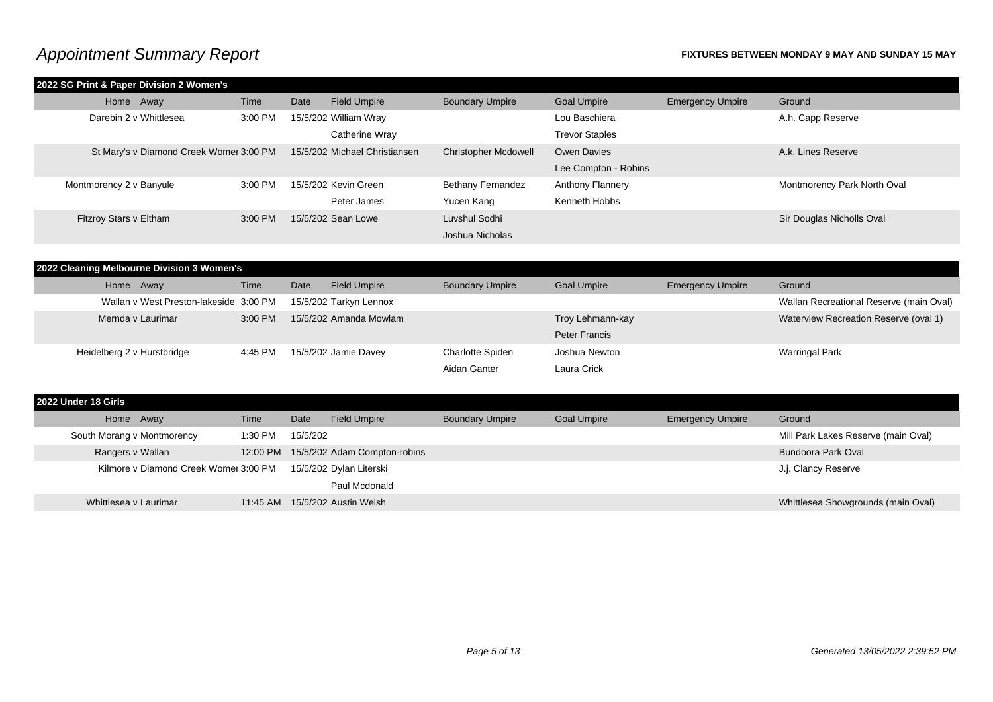| 2022 SG Print & Paper Division 2 Women's |         |      |                               |                             |                       |                         |                             |
|------------------------------------------|---------|------|-------------------------------|-----------------------------|-----------------------|-------------------------|-----------------------------|
| Home Away                                | Time    | Date | <b>Field Umpire</b>           | <b>Boundary Umpire</b>      | <b>Goal Umpire</b>    | <b>Emergency Umpire</b> | Ground                      |
| Darebin 2 v Whittlesea                   | 3:00 PM |      | 15/5/202 William Wray         |                             | Lou Baschiera         |                         | A.h. Capp Reserve           |
|                                          |         |      | Catherine Wray                |                             | <b>Trevor Staples</b> |                         |                             |
| St Mary's v Diamond Creek Womer 3:00 PM  |         |      | 15/5/202 Michael Christiansen | <b>Christopher Mcdowell</b> | Owen Davies           |                         | A.k. Lines Reserve          |
|                                          |         |      |                               |                             | Lee Compton - Robins  |                         |                             |
| Montmorency 2 v Banyule                  | 3:00 PM |      | 15/5/202 Kevin Green          | <b>Bethany Fernandez</b>    | Anthony Flannery      |                         | Montmorency Park North Oval |
|                                          |         |      | Peter James                   | Yucen Kang                  | Kenneth Hobbs         |                         |                             |
| Fitzroy Stars v Eltham                   | 3:00 PM |      | 15/5/202 Sean Lowe            | Luvshul Sodhi               |                       |                         | Sir Douglas Nicholls Oval   |
|                                          |         |      |                               | Joshua Nicholas             |                       |                         |                             |

| 2022 Cleaning Melbourne Division 3 Women's |         |      |                        |                         |                    |                         |                                         |  |  |  |
|--------------------------------------------|---------|------|------------------------|-------------------------|--------------------|-------------------------|-----------------------------------------|--|--|--|
| Home Away                                  | Time    | Date | <b>Field Umpire</b>    | <b>Boundary Umpire</b>  | <b>Goal Umpire</b> | <b>Emergency Umpire</b> | Ground                                  |  |  |  |
| Wallan v West Preston-lakeside 3:00 PM     |         |      | 15/5/202 Tarkyn Lennox |                         |                    |                         | Wallan Recreational Reserve (main Oval) |  |  |  |
| Mernda y Laurimar                          | 3:00 PM |      | 15/5/202 Amanda Mowlam |                         | Troy Lehmann-kay   |                         | Waterview Recreation Reserve (oval 1)   |  |  |  |
|                                            |         |      |                        |                         | Peter Francis      |                         |                                         |  |  |  |
| Heidelberg 2 v Hurstbridge                 | 4:45 PM |      | 15/5/202 Jamie Davey   | <b>Charlotte Spiden</b> | Joshua Newton      |                         | <b>Warringal Park</b>                   |  |  |  |
|                                            |         |      |                        | Aidan Ganter            | Laura Crick        |                         |                                         |  |  |  |

| 2022 Under 18 Girls |                            |                                       |          |          |                                       |                        |                    |                         |                                     |
|---------------------|----------------------------|---------------------------------------|----------|----------|---------------------------------------|------------------------|--------------------|-------------------------|-------------------------------------|
|                     | Home Away                  |                                       | Time     | Date     | <b>Field Umpire</b>                   | <b>Boundary Umpire</b> | <b>Goal Umpire</b> | <b>Emergency Umpire</b> | Ground                              |
|                     | South Morang v Montmorency |                                       | 1:30 PM  | 15/5/202 |                                       |                        |                    |                         | Mill Park Lakes Reserve (main Oval) |
|                     | Rangers v Wallan           |                                       |          |          | 12:00 PM 15/5/202 Adam Compton-robins |                        |                    |                         | Bundoora Park Oval                  |
|                     |                            | Kilmore v Diamond Creek Womer 3:00 PM |          |          | 15/5/202 Dylan Literski               |                        |                    |                         | J.j. Clancy Reserve                 |
|                     |                            |                                       |          |          | Paul Mcdonald                         |                        |                    |                         |                                     |
|                     | Whittlesea y Laurimar      |                                       | 11:45 AM |          | 15/5/202 Austin Welsh                 |                        |                    |                         | Whittlesea Showgrounds (main Oval)  |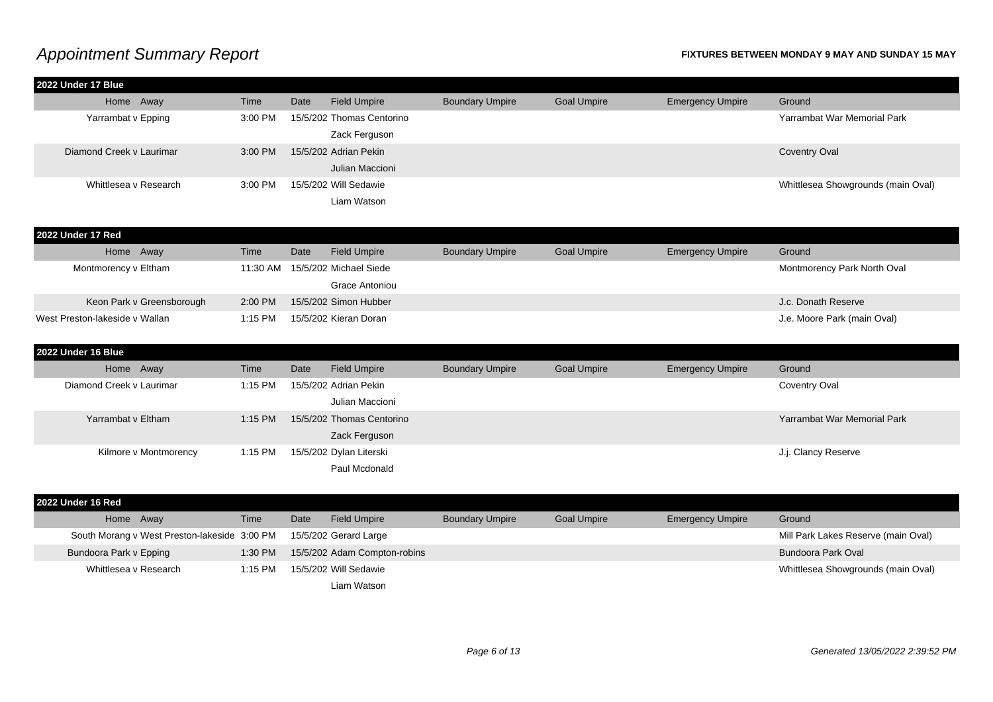| 2022 Under 17 Blue             |                                              |           |      |                                 |                        |                    |                         |                                     |
|--------------------------------|----------------------------------------------|-----------|------|---------------------------------|------------------------|--------------------|-------------------------|-------------------------------------|
| Home Away                      |                                              | Time      | Date | <b>Field Umpire</b>             | <b>Boundary Umpire</b> | <b>Goal Umpire</b> | <b>Emergency Umpire</b> | Ground                              |
| Yarrambat v Epping             |                                              | 3:00 PM   |      | 15/5/202 Thomas Centorino       |                        |                    |                         | Yarrambat War Memorial Park         |
|                                |                                              |           |      | Zack Ferguson                   |                        |                    |                         |                                     |
| Diamond Creek v Laurimar       |                                              | 3:00 PM   |      | 15/5/202 Adrian Pekin           |                        |                    |                         | <b>Coventry Oval</b>                |
|                                |                                              |           |      | Julian Maccioni                 |                        |                    |                         |                                     |
| Whittlesea v Research          |                                              | 3:00 PM   |      | 15/5/202 Will Sedawie           |                        |                    |                         | Whittlesea Showgrounds (main Oval)  |
|                                |                                              |           |      | Liam Watson                     |                        |                    |                         |                                     |
|                                |                                              |           |      |                                 |                        |                    |                         |                                     |
| 2022 Under 17 Red              |                                              |           |      |                                 |                        |                    |                         |                                     |
| Home Away                      |                                              | Time      | Date | <b>Field Umpire</b>             | <b>Boundary Umpire</b> | <b>Goal Umpire</b> | <b>Emergency Umpire</b> | Ground                              |
| Montmorency v Eltham           |                                              |           |      | 11:30 AM 15/5/202 Michael Siede |                        |                    |                         | Montmorency Park North Oval         |
|                                |                                              |           |      | Grace Antoniou                  |                        |                    |                         |                                     |
|                                | Keon Park v Greensborough                    | 2:00 PM   |      | 15/5/202 Simon Hubber           |                        |                    |                         | J.c. Donath Reserve                 |
| West Preston-lakeside v Wallan |                                              | $1:15$ PM |      | 15/5/202 Kieran Doran           |                        |                    |                         | J.e. Moore Park (main Oval)         |
|                                |                                              |           |      |                                 |                        |                    |                         |                                     |
| 2022 Under 16 Blue             |                                              |           |      |                                 |                        |                    |                         |                                     |
| Home Away                      |                                              | Time      | Date | <b>Field Umpire</b>             | <b>Boundary Umpire</b> | <b>Goal Umpire</b> | <b>Emergency Umpire</b> | Ground                              |
| Diamond Creek v Laurimar       |                                              | 1:15 PM   |      | 15/5/202 Adrian Pekin           |                        |                    |                         | Coventry Oval                       |
|                                |                                              |           |      | Julian Maccioni                 |                        |                    |                         |                                     |
| Yarrambat v Eltham             |                                              | 1:15 PM   |      | 15/5/202 Thomas Centorino       |                        |                    |                         | Yarrambat War Memorial Park         |
|                                |                                              |           |      | Zack Ferguson                   |                        |                    |                         |                                     |
|                                | Kilmore v Montmorency                        | 1:15 PM   |      | 15/5/202 Dylan Literski         |                        |                    |                         | J.j. Clancy Reserve                 |
|                                |                                              |           |      | Paul Mcdonald                   |                        |                    |                         |                                     |
|                                |                                              |           |      |                                 |                        |                    |                         |                                     |
| 2022 Under 16 Red              |                                              |           |      |                                 |                        |                    |                         |                                     |
| Home Away                      |                                              | Time      | Date | <b>Field Umpire</b>             | <b>Boundary Umpire</b> | <b>Goal Umpire</b> | <b>Emergency Umpire</b> | Ground                              |
|                                | South Morang v West Preston-lakeside 3:00 PM |           |      | 15/5/202 Gerard Large           |                        |                    |                         | Mill Park Lakes Reserve (main Oval) |
| Bundoora Park v Epping         |                                              | 1:30 PM   |      | 15/5/202 Adam Compton-robins    |                        |                    |                         | <b>Bundoora Park Oval</b>           |
| Whittlesea v Research          |                                              | 1:15 PM   |      | 15/5/202 Will Sedawie           |                        |                    |                         | Whittlesea Showgrounds (main Oval)  |
|                                |                                              |           |      | Liam Watson                     |                        |                    |                         |                                     |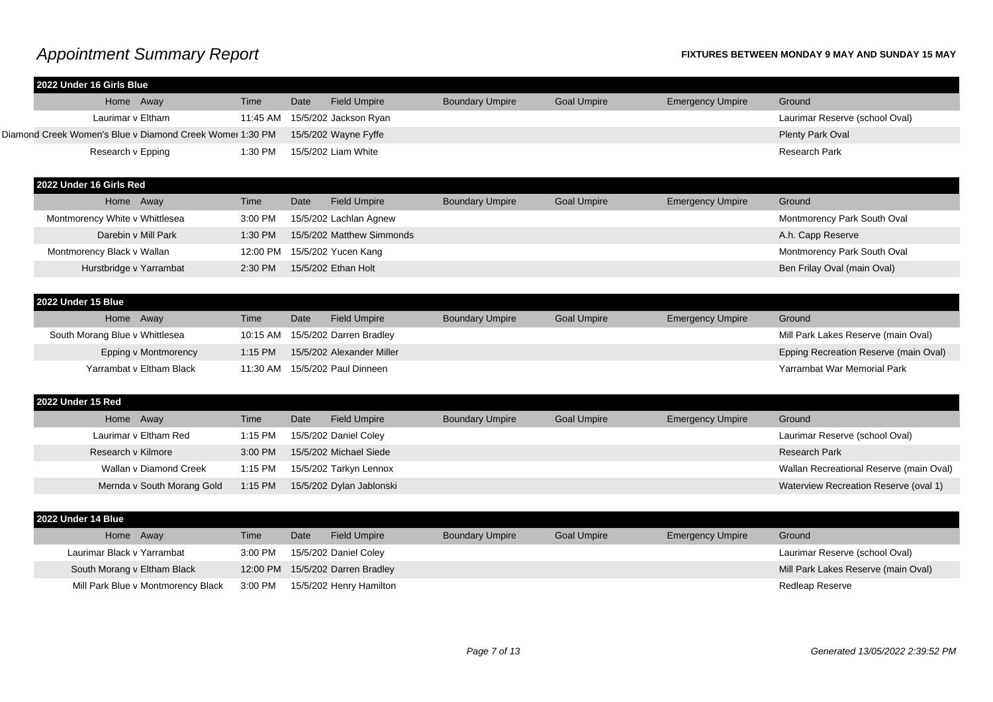| 2022 Under 16 Girls Blue                                 |          |      |                           |                        |                    |                         |                                         |
|----------------------------------------------------------|----------|------|---------------------------|------------------------|--------------------|-------------------------|-----------------------------------------|
| Home Away                                                | Time     | Date | <b>Field Umpire</b>       | <b>Boundary Umpire</b> | <b>Goal Umpire</b> | <b>Emergency Umpire</b> | Ground                                  |
| Laurimar v Eltham                                        | 11:45 AM |      | 15/5/202 Jackson Ryan     |                        |                    |                         | Laurimar Reserve (school Oval)          |
| Diamond Creek Women's Blue v Diamond Creek Womer 1:30 PM |          |      | 15/5/202 Wayne Fyffe      |                        |                    |                         | Plenty Park Oval                        |
| Research v Epping                                        | 1:30 PM  |      | 15/5/202 Liam White       |                        |                    |                         | <b>Research Park</b>                    |
|                                                          |          |      |                           |                        |                    |                         |                                         |
| 2022 Under 16 Girls Red                                  |          |      |                           |                        |                    |                         |                                         |
| Home Away                                                | Time     | Date | <b>Field Umpire</b>       | <b>Boundary Umpire</b> | <b>Goal Umpire</b> | <b>Emergency Umpire</b> | Ground                                  |
| Montmorency White v Whittlesea                           | 3:00 PM  |      | 15/5/202 Lachlan Agnew    |                        |                    |                         | Montmorency Park South Oval             |
| Darebin v Mill Park                                      | 1:30 PM  |      | 15/5/202 Matthew Simmonds |                        |                    |                         | A.h. Capp Reserve                       |
| Montmorency Black v Wallan                               | 12:00 PM |      | 15/5/202 Yucen Kang       |                        |                    |                         | Montmorency Park South Oval             |
| Hurstbridge v Yarrambat                                  | 2:30 PM  |      | 15/5/202 Ethan Holt       |                        |                    |                         | Ben Frilay Oval (main Oval)             |
|                                                          |          |      |                           |                        |                    |                         |                                         |
| 2022 Under 15 Blue                                       |          |      |                           |                        |                    |                         |                                         |
| Home Away                                                | Time     | Date | <b>Field Umpire</b>       | <b>Boundary Umpire</b> | <b>Goal Umpire</b> | <b>Emergency Umpire</b> | Ground                                  |
| South Morang Blue v Whittlesea                           | 10:15 AM |      | 15/5/202 Darren Bradley   |                        |                    |                         | Mill Park Lakes Reserve (main Oval)     |
| Epping v Montmorency                                     | 1:15 PM  |      | 15/5/202 Alexander Miller |                        |                    |                         | Epping Recreation Reserve (main Oval)   |
| Yarrambat v Eltham Black                                 | 11:30 AM |      | 15/5/202 Paul Dinneen     |                        |                    |                         | Yarrambat War Memorial Park             |
|                                                          |          |      |                           |                        |                    |                         |                                         |
| 2022 Under 15 Red                                        |          |      |                           |                        |                    |                         |                                         |
| Home Away                                                | Time     | Date | <b>Field Umpire</b>       | <b>Boundary Umpire</b> | <b>Goal Umpire</b> | <b>Emergency Umpire</b> | Ground                                  |
| Laurimar y Eltham Red                                    | 1:15 PM  |      | 15/5/202 Daniel Coley     |                        |                    |                         | Laurimar Reserve (school Oval)          |
| Research v Kilmore                                       | 3:00 PM  |      | 15/5/202 Michael Siede    |                        |                    |                         | <b>Research Park</b>                    |
| Wallan v Diamond Creek                                   | 1:15 PM  |      | 15/5/202 Tarkyn Lennox    |                        |                    |                         | Wallan Recreational Reserve (main Oval) |
| Mernda v South Morang Gold                               | 1:15 PM  |      | 15/5/202 Dylan Jablonski  |                        |                    |                         | Waterview Recreation Reserve (oval 1)   |
|                                                          |          |      |                           |                        |                    |                         |                                         |
| 2022 Under 14 Blue                                       |          |      |                           |                        |                    |                         |                                         |
| Home Away                                                | Time     | Date | <b>Field Umpire</b>       | <b>Boundary Umpire</b> | <b>Goal Umpire</b> | <b>Emergency Umpire</b> | Ground                                  |
| Laurimar Black v Yarrambat                               | 3:00 PM  |      | 15/5/202 Daniel Coley     |                        |                    |                         | Laurimar Reserve (school Oval)          |
| South Morang v Eltham Black                              | 12:00 PM |      | 15/5/202 Darren Bradley   |                        |                    |                         | Mill Park Lakes Reserve (main Oval)     |
| Mill Park Blue v Montmorency Black                       | 3:00 PM  |      | 15/5/202 Henry Hamilton   |                        |                    |                         | Redleap Reserve                         |
|                                                          |          |      |                           |                        |                    |                         |                                         |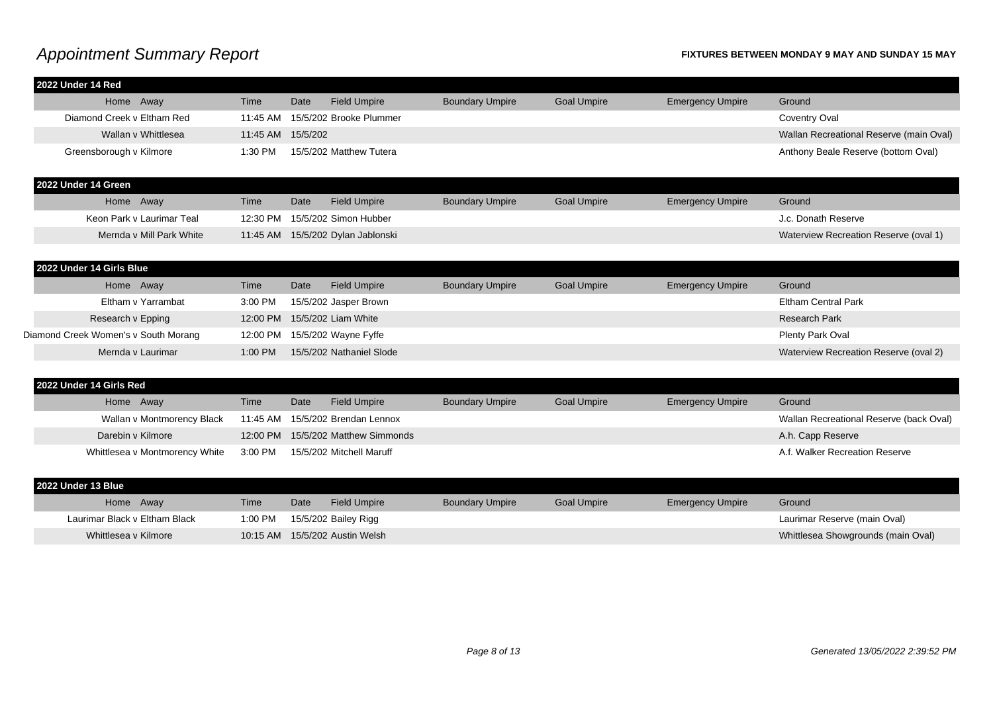| 2022 Under 14 Red                    |                                |          |          |                                   |                        |                    |                         |                                         |
|--------------------------------------|--------------------------------|----------|----------|-----------------------------------|------------------------|--------------------|-------------------------|-----------------------------------------|
| Home Away                            |                                | Time     | Date     | <b>Field Umpire</b>               | <b>Boundary Umpire</b> | <b>Goal Umpire</b> | <b>Emergency Umpire</b> | Ground                                  |
| Diamond Creek v Eltham Red           |                                | 11:45 AM |          | 15/5/202 Brooke Plummer           |                        |                    |                         | Coventry Oval                           |
|                                      | Wallan v Whittlesea            | 11:45 AM | 15/5/202 |                                   |                        |                    |                         | Wallan Recreational Reserve (main Oval) |
| Greensborough v Kilmore              |                                | 1:30 PM  |          | 15/5/202 Matthew Tutera           |                        |                    |                         | Anthony Beale Reserve (bottom Oval)     |
| 2022 Under 14 Green                  |                                |          |          |                                   |                        |                    |                         |                                         |
| Home Away                            |                                | Time     | Date     | <b>Field Umpire</b>               | <b>Boundary Umpire</b> | <b>Goal Umpire</b> | <b>Emergency Umpire</b> | Ground                                  |
|                                      | Keon Park v Laurimar Teal      | 12:30 PM |          | 15/5/202 Simon Hubber             |                        |                    |                         | J.c. Donath Reserve                     |
|                                      | Mernda v Mill Park White       |          |          | 11:45 AM 15/5/202 Dylan Jablonski |                        |                    |                         | Waterview Recreation Reserve (oval 1)   |
|                                      |                                |          |          |                                   |                        |                    |                         |                                         |
| 2022 Under 14 Girls Blue             |                                |          |          |                                   |                        |                    |                         |                                         |
| Home Away                            |                                | Time     | Date     | <b>Field Umpire</b>               | <b>Boundary Umpire</b> | <b>Goal Umpire</b> | <b>Emergency Umpire</b> | Ground                                  |
|                                      | Eltham v Yarrambat             | 3:00 PM  |          | 15/5/202 Jasper Brown             |                        |                    |                         | <b>Eltham Central Park</b>              |
| Research v Epping                    |                                | 12:00 PM |          | 15/5/202 Liam White               |                        |                    |                         | <b>Research Park</b>                    |
| Diamond Creek Women's v South Morang |                                | 12:00 PM |          | 15/5/202 Wayne Fyffe              |                        |                    |                         | Plenty Park Oval                        |
| Mernda y Laurimar                    |                                | 1:00 PM  |          | 15/5/202 Nathaniel Slode          |                        |                    |                         | Waterview Recreation Reserve (oval 2)   |
|                                      |                                |          |          |                                   |                        |                    |                         |                                         |
| 2022 Under 14 Girls Red              |                                |          |          |                                   |                        |                    |                         |                                         |
| Home Away                            |                                | Time     | Date     | <b>Field Umpire</b>               | <b>Boundary Umpire</b> | <b>Goal Umpire</b> | <b>Emergency Umpire</b> | Ground                                  |
|                                      | Wallan v Montmorency Black     | 11:45 AM |          | 15/5/202 Brendan Lennox           |                        |                    |                         | Wallan Recreational Reserve (back Oval) |
| Darebin v Kilmore                    |                                | 12:00 PM |          | 15/5/202 Matthew Simmonds         |                        |                    |                         | A.h. Capp Reserve                       |
|                                      | Whittlesea v Montmorency White | 3:00 PM  |          | 15/5/202 Mitchell Maruff          |                        |                    |                         | A.f. Walker Recreation Reserve          |
|                                      |                                |          |          |                                   |                        |                    |                         |                                         |
| 2022 Under 13 Blue                   |                                |          |          |                                   |                        |                    |                         |                                         |
| Home Away                            |                                | Time     | Date     | <b>Field Umpire</b>               | <b>Boundary Umpire</b> | <b>Goal Umpire</b> | <b>Emergency Umpire</b> | Ground                                  |
| Laurimar Black v Eltham Black        |                                | 1:00 PM  |          | 15/5/202 Bailey Rigg              |                        |                    |                         | Laurimar Reserve (main Oval)            |
| Whittlesea v Kilmore                 |                                | 10:15 AM |          | 15/5/202 Austin Welsh             |                        |                    |                         | Whittlesea Showgrounds (main Oval)      |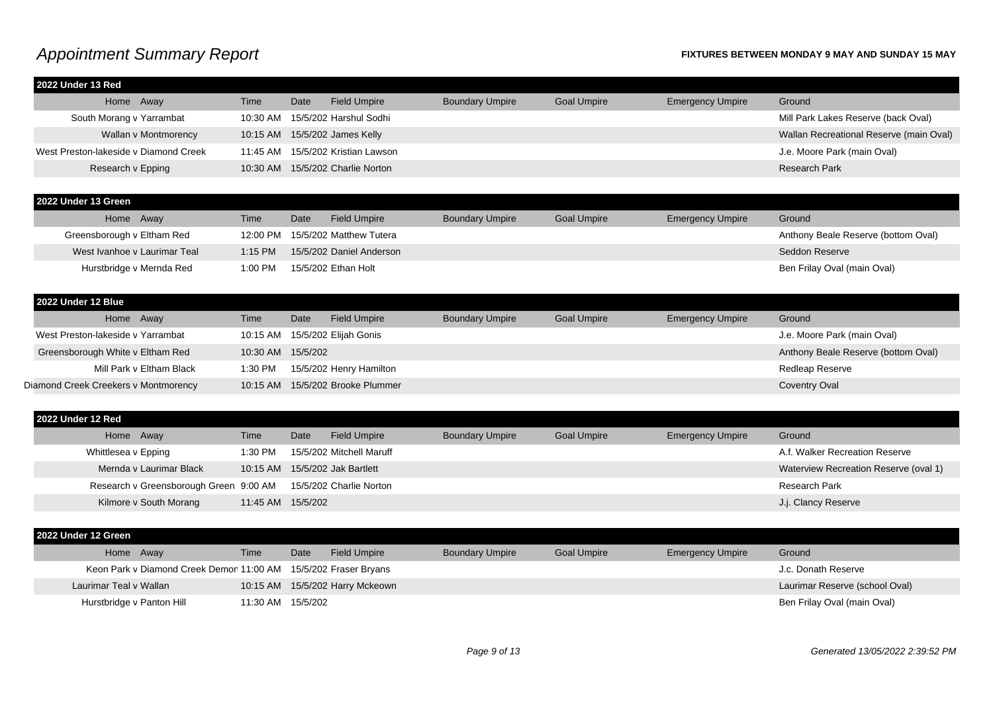| 2022 Under 13 Red                      |                   |      |                                   |                        |                    |                         |                                         |
|----------------------------------------|-------------------|------|-----------------------------------|------------------------|--------------------|-------------------------|-----------------------------------------|
| Home Away                              | Time              | Date | <b>Field Umpire</b>               | <b>Boundary Umpire</b> | <b>Goal Umpire</b> | <b>Emergency Umpire</b> | Ground                                  |
| South Morang v Yarrambat               |                   |      | 10:30 AM 15/5/202 Harshul Sodhi   |                        |                    |                         | Mill Park Lakes Reserve (back Oval)     |
| Wallan v Montmorency                   |                   |      | 10:15 AM 15/5/202 James Kelly     |                        |                    |                         | Wallan Recreational Reserve (main Oval) |
| West Preston-lakeside v Diamond Creek  |                   |      | 11:45 AM 15/5/202 Kristian Lawson |                        |                    |                         | J.e. Moore Park (main Oval)             |
| Research v Epping                      |                   |      | 10:30 AM 15/5/202 Charlie Norton  |                        |                    |                         | <b>Research Park</b>                    |
| 2022 Under 13 Green                    |                   |      |                                   |                        |                    |                         |                                         |
| Home Away                              | Time              | Date | <b>Field Umpire</b>               | <b>Boundary Umpire</b> | <b>Goal Umpire</b> | <b>Emergency Umpire</b> | Ground                                  |
| Greensborough v Eltham Red             | 12:00 PM          |      | 15/5/202 Matthew Tutera           |                        |                    |                         | Anthony Beale Reserve (bottom Oval)     |
| West Ivanhoe y Laurimar Teal           | 1:15 PM           |      | 15/5/202 Daniel Anderson          |                        |                    |                         | Seddon Reserve                          |
| Hurstbridge v Mernda Red               | 1:00 PM           |      | 15/5/202 Ethan Holt               |                        |                    |                         | Ben Frilay Oval (main Oval)             |
| 2022 Under 12 Blue                     |                   |      |                                   |                        |                    |                         |                                         |
| Home Away                              | Time              | Date | <b>Field Umpire</b>               | <b>Boundary Umpire</b> | <b>Goal Umpire</b> | <b>Emergency Umpire</b> | Ground                                  |
| West Preston-lakeside v Yarrambat      |                   |      | 10:15 AM 15/5/202 Elijah Gonis    |                        |                    |                         | J.e. Moore Park (main Oval)             |
| Greensborough White v Eltham Red       | 10:30 AM 15/5/202 |      |                                   |                        |                    |                         | Anthony Beale Reserve (bottom Oval)     |
| Mill Park v Eltham Black               | 1:30 PM           |      | 15/5/202 Henry Hamilton           |                        |                    |                         | Redleap Reserve                         |
| Diamond Creek Creekers v Montmorency   |                   |      | 10:15 AM 15/5/202 Brooke Plummer  |                        |                    |                         | <b>Coventry Oval</b>                    |
| 2022 Under 12 Red                      |                   |      |                                   |                        |                    |                         |                                         |
| Home Away                              | Time              | Date | <b>Field Umpire</b>               | <b>Boundary Umpire</b> | <b>Goal Umpire</b> | <b>Emergency Umpire</b> | Ground                                  |
| Whittlesea v Epping                    | 1:30 PM           |      | 15/5/202 Mitchell Maruff          |                        |                    |                         | A.f. Walker Recreation Reserve          |
| Mernda v Laurimar Black                |                   |      | 10:15 AM 15/5/202 Jak Bartlett    |                        |                    |                         | Waterview Recreation Reserve (oval 1)   |
| Research v Greensborough Green 9:00 AM |                   |      | 15/5/202 Charlie Norton           |                        |                    |                         | <b>Research Park</b>                    |
| Kilmore v South Morang                 | 11:45 AM 15/5/202 |      |                                   |                        |                    |                         | J.j. Clancy Reserve                     |
| 2022 Under 12 Green                    |                   |      |                                   |                        |                    |                         |                                         |
| $L_{\alpha}$ $\Delta$ $\mu$            | Time              | Data | Eigld Umpire                      | Doundary Umpire        | Coollmnize         | Emergeneur Umpire       | $C$ round                               |

| Home Away                                                       | Time              | Date | <b>Field Umpire</b>             | <b>Boundary Umpire</b> | <b>Goal Umpire</b> | <b>Emergency Umpire</b> | Ground                         |
|-----------------------------------------------------------------|-------------------|------|---------------------------------|------------------------|--------------------|-------------------------|--------------------------------|
| Keon Park v Diamond Creek Demor 11:00 AM 15/5/202 Fraser Bryans |                   |      |                                 |                        |                    |                         | J.c. Donath Reserve            |
| Laurimar Teal v Wallan                                          |                   |      | 10:15 AM 15/5/202 Harry Mckeown |                        |                    |                         | Laurimar Reserve (school Oval) |
| Hurstbridge v Panton Hill                                       | 11:30 AM 15/5/202 |      |                                 |                        |                    |                         | Ben Frilay Oval (main Oval)    |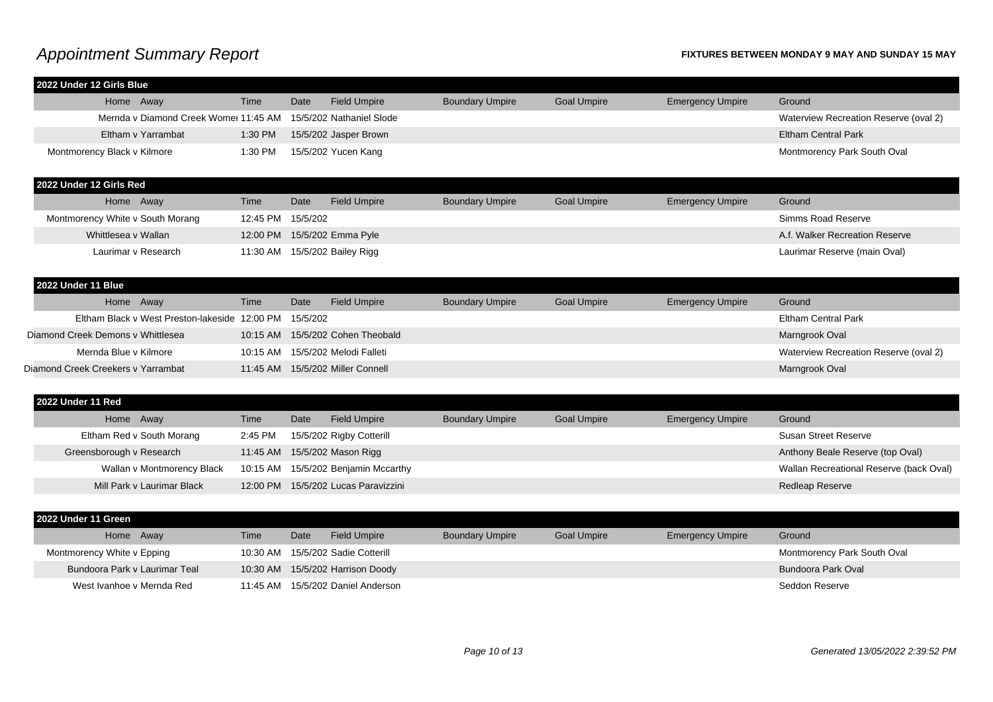| 2022 Under 12 Girls Blue                                       |                   |          |                                                          |                        |                    |                         |                                         |
|----------------------------------------------------------------|-------------------|----------|----------------------------------------------------------|------------------------|--------------------|-------------------------|-----------------------------------------|
| Home Away                                                      | Time              | Date     | <b>Field Umpire</b>                                      | <b>Boundary Umpire</b> | <b>Goal Umpire</b> | <b>Emergency Umpire</b> | Ground                                  |
| Mernda v Diamond Creek Womer 11:45 AM 15/5/202 Nathaniel Slode |                   |          |                                                          |                        |                    |                         | Waterview Recreation Reserve (oval 2)   |
| Eltham v Yarrambat                                             | 1:30 PM           |          | 15/5/202 Jasper Brown                                    |                        |                    |                         | <b>Eltham Central Park</b>              |
| Montmorency Black v Kilmore                                    | 1:30 PM           |          | 15/5/202 Yucen Kang                                      |                        |                    |                         | Montmorency Park South Oval             |
| 2022 Under 12 Girls Red                                        |                   |          |                                                          |                        |                    |                         |                                         |
| Home Away                                                      | Time              | Date     | <b>Field Umpire</b>                                      | <b>Boundary Umpire</b> | <b>Goal Umpire</b> | <b>Emergency Umpire</b> | Ground                                  |
| Montmorency White v South Morang                               | 12:45 PM 15/5/202 |          |                                                          |                        |                    |                         | Simms Road Reserve                      |
| Whittlesea v Wallan                                            |                   |          | 12:00 PM 15/5/202 Emma Pyle                              |                        |                    |                         | A.f. Walker Recreation Reserve          |
| Laurimar v Research                                            |                   |          | 11:30 AM 15/5/202 Bailey Rigg                            |                        |                    |                         | Laurimar Reserve (main Oval)            |
| 2022 Under 11 Blue                                             |                   |          |                                                          |                        |                    |                         |                                         |
| Home Away                                                      | Time              | Date     | <b>Field Umpire</b>                                      | <b>Boundary Umpire</b> | <b>Goal Umpire</b> | <b>Emergency Umpire</b> | Ground                                  |
| Eltham Black v West Preston-lakeside 12:00 PM                  |                   | 15/5/202 |                                                          |                        |                    |                         | <b>Eltham Central Park</b>              |
| Diamond Creek Demons v Whittlesea                              |                   |          | 10:15 AM 15/5/202 Cohen Theobald                         |                        |                    |                         | Marngrook Oval                          |
| Mernda Blue v Kilmore                                          | 10:15 AM          |          | 15/5/202 Melodi Falleti                                  |                        |                    |                         | Waterview Recreation Reserve (oval 2)   |
| Diamond Creek Creekers v Yarrambat                             |                   |          | 11:45 AM  15/5/202 Miller Connell                        |                        |                    |                         | Marngrook Oval                          |
|                                                                |                   |          |                                                          |                        |                    |                         |                                         |
| 2022 Under 11 Red                                              |                   |          |                                                          |                        |                    |                         |                                         |
| Home Away                                                      | Time              | Date     | <b>Field Umpire</b>                                      | <b>Boundary Umpire</b> | <b>Goal Umpire</b> | <b>Emergency Umpire</b> | Ground                                  |
| Eltham Red v South Morang                                      | 2:45 PM           |          | 15/5/202 Rigby Cotterill                                 |                        |                    |                         | <b>Susan Street Reserve</b>             |
| Greensborough v Research                                       |                   |          | 11:45 AM 15/5/202 Mason Rigg                             |                        |                    |                         | Anthony Beale Reserve (top Oval)        |
| Wallan v Montmorency Black                                     |                   |          | 10:15 AM 15/5/202 Benjamin Mccarthy                      |                        |                    |                         | Wallan Recreational Reserve (back Oval) |
| Mill Park v Laurimar Black                                     |                   |          | 12:00 PM 15/5/202 Lucas Paravizzini                      |                        |                    |                         | <b>Redleap Reserve</b>                  |
| 2022 Under 11 Green                                            |                   |          |                                                          |                        |                    |                         |                                         |
|                                                                | Time              | Date     |                                                          |                        |                    |                         | Ground                                  |
| Home Away                                                      |                   |          | <b>Field Umpire</b><br>10:30 AM 15/5/202 Sadie Cotterill | <b>Boundary Umpire</b> | <b>Goal Umpire</b> | <b>Emergency Umpire</b> |                                         |
| Montmorency White v Epping                                     |                   |          |                                                          |                        |                    |                         | Montmorency Park South Oval             |
| Bundoora Park v Laurimar Teal                                  |                   |          | 10:30 AM 15/5/202 Harrison Doody                         |                        |                    |                         | Bundoora Park Oval                      |
| West Ivanhoe v Mernda Red                                      |                   |          | 11:45 AM 15/5/202 Daniel Anderson                        |                        |                    |                         | Seddon Reserve                          |
|                                                                |                   |          |                                                          |                        |                    |                         |                                         |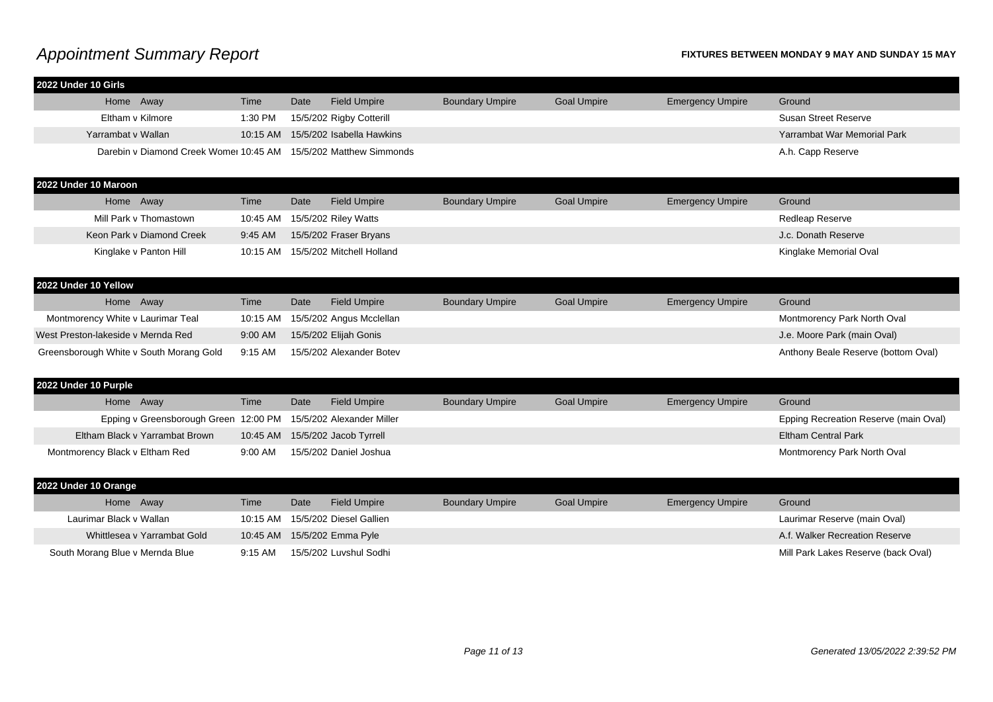| 2022 Under 10 Girls                                              |          |      |                           |                        |                    |                         |                                       |
|------------------------------------------------------------------|----------|------|---------------------------|------------------------|--------------------|-------------------------|---------------------------------------|
| Home Away                                                        | Time     | Date | <b>Field Umpire</b>       | <b>Boundary Umpire</b> | <b>Goal Umpire</b> | <b>Emergency Umpire</b> | Ground                                |
| Eltham v Kilmore                                                 | 1:30 PM  |      | 15/5/202 Rigby Cotterill  |                        |                    |                         | <b>Susan Street Reserve</b>           |
| Yarrambat v Wallan                                               | 10:15 AM |      | 15/5/202 Isabella Hawkins |                        |                    |                         | Yarrambat War Memorial Park           |
| Darebin v Diamond Creek Womei 10:45 AM 15/5/202 Matthew Simmonds |          |      |                           |                        |                    |                         | A.h. Capp Reserve                     |
| 2022 Under 10 Maroon                                             |          |      |                           |                        |                    |                         |                                       |
| Home Away                                                        | Time     | Date | <b>Field Umpire</b>       | <b>Boundary Umpire</b> | <b>Goal Umpire</b> | <b>Emergency Umpire</b> | Ground                                |
| Mill Park v Thomastown                                           | 10:45 AM |      | 15/5/202 Riley Watts      |                        |                    |                         | <b>Redleap Reserve</b>                |
| Keon Park v Diamond Creek                                        | 9:45 AM  |      | 15/5/202 Fraser Bryans    |                        |                    |                         | J.c. Donath Reserve                   |
| Kinglake v Panton Hill                                           | 10:15 AM |      | 15/5/202 Mitchell Holland |                        |                    |                         | Kinglake Memorial Oval                |
| 2022 Under 10 Yellow                                             |          |      |                           |                        |                    |                         |                                       |
| Home Away                                                        | Time     | Date | <b>Field Umpire</b>       | <b>Boundary Umpire</b> | <b>Goal Umpire</b> | <b>Emergency Umpire</b> | Ground                                |
| Montmorency White v Laurimar Teal                                | 10:15 AM |      | 15/5/202 Angus Mcclellan  |                        |                    |                         | Montmorency Park North Oval           |
| West Preston-lakeside v Mernda Red                               | 9:00 AM  |      | 15/5/202 Elijah Gonis     |                        |                    |                         | J.e. Moore Park (main Oval)           |
| Greensborough White v South Morang Gold                          | 9:15 AM  |      | 15/5/202 Alexander Botev  |                        |                    |                         | Anthony Beale Reserve (bottom Oval)   |
| 2022 Under 10 Purple                                             |          |      |                           |                        |                    |                         |                                       |
| Home Away                                                        | Time     | Date | <b>Field Umpire</b>       | <b>Boundary Umpire</b> | <b>Goal Umpire</b> | <b>Emergency Umpire</b> | Ground                                |
| Epping v Greensborough Green 12:00 PM                            |          |      | 15/5/202 Alexander Miller |                        |                    |                         | Epping Recreation Reserve (main Oval) |
| Eltham Black v Yarrambat Brown                                   | 10:45 AM |      | 15/5/202 Jacob Tyrrell    |                        |                    |                         | <b>Eltham Central Park</b>            |
| Montmorency Black v Eltham Red                                   | 9:00 AM  |      | 15/5/202 Daniel Joshua    |                        |                    |                         | Montmorency Park North Oval           |
| 2022 Under 10 Orange                                             |          |      |                           |                        |                    |                         |                                       |
| Home Away                                                        | Time     | Date | <b>Field Umpire</b>       | <b>Boundary Umpire</b> | <b>Goal Umpire</b> | <b>Emergency Umpire</b> | Ground                                |
| Laurimar Black v Wallan                                          | 10:15 AM |      | 15/5/202 Diesel Gallien   |                        |                    |                         | Laurimar Reserve (main Oval)          |
| Whittlesea v Yarrambat Gold                                      | 10:45 AM |      | 15/5/202 Emma Pyle        |                        |                    |                         | A.f. Walker Recreation Reserve        |
| South Morang Blue v Mernda Blue                                  | 9:15 AM  |      | 15/5/202 Luvshul Sodhi    |                        |                    |                         | Mill Park Lakes Reserve (back Oval)   |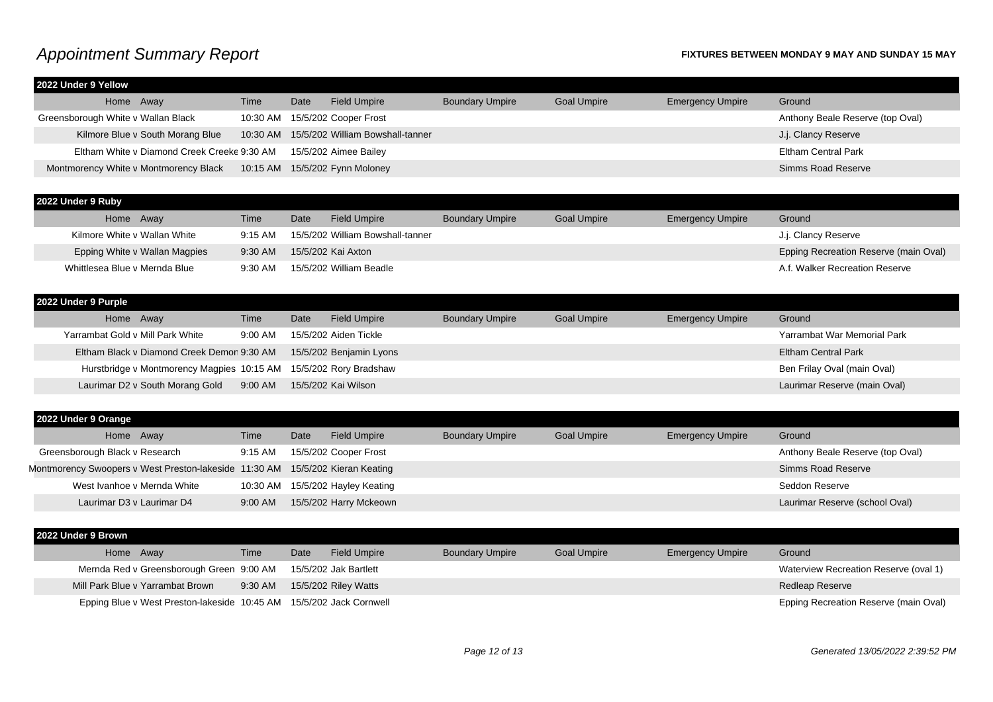|  | Time                                                                                                                                                | Date                                        | <b>Field Umpire</b> | <b>Boundary Umpire</b>                                                                                      | <b>Goal Umpire</b> | <b>Emergency Umpire</b> | Ground                           |
|--|-----------------------------------------------------------------------------------------------------------------------------------------------------|---------------------------------------------|---------------------|-------------------------------------------------------------------------------------------------------------|--------------------|-------------------------|----------------------------------|
|  | 10:30 AM                                                                                                                                            |                                             |                     |                                                                                                             |                    |                         | Anthony Beale Reserve (top Oval) |
|  | 10:30 AM                                                                                                                                            |                                             |                     |                                                                                                             |                    |                         | J.j. Clancy Reserve              |
|  |                                                                                                                                                     |                                             |                     |                                                                                                             |                    |                         | <b>Eltham Central Park</b>       |
|  | 10:15 AM                                                                                                                                            |                                             |                     |                                                                                                             |                    |                         | Simms Road Reserve               |
|  | 2022 Under 9 Yellow<br>Home Away<br>Greensborough White v Wallan Black<br>Kilmore Blue v South Morang Blue<br>Montmorency White v Montmorency Black | Eltham White v Diamond Creek Creeke 9:30 AM |                     | 15/5/202 Cooper Frost<br>15/5/202 William Bowshall-tanner<br>15/5/202 Aimee Bailey<br>15/5/202 Fynn Moloney |                    |                         |                                  |

| 2022 Under 9 Ruby             |         |      |                                  |                        |                    |                         |                                              |
|-------------------------------|---------|------|----------------------------------|------------------------|--------------------|-------------------------|----------------------------------------------|
| Home Away                     | Time    | Date | <b>Field Umpire</b>              | <b>Boundary Umpire</b> | <b>Goal Umpire</b> | <b>Emergency Umpire</b> | Ground                                       |
| Kilmore White v Wallan White  | 9:15 AM |      | 15/5/202 William Bowshall-tanner |                        |                    |                         | J.j. Clancy Reserve                          |
| Epping White v Wallan Magpies | 9:30 AM |      | 15/5/202 Kai Axton               |                        |                    |                         | <b>Epping Recreation Reserve (main Oval)</b> |
| Whittlesea Blue v Mernda Blue | 9:30 AM |      | 15/5/202 William Beadle          |                        |                    |                         | A.f. Walker Recreation Reserve               |
|                               |         |      |                                  |                        |                    |                         |                                              |

### **2022 Under 9 Purple** Home Away **Time** Date Field Umpire Boundary Umpire Goal Umpire Emergency Umpire Ground Yarrambat Gold v Mill Park White 9:00 AM 15/5/202 Aiden Tickle Yarrambat War Memorial Park Yarrambat War Memorial Park Eltham Black v Diamond Creek Demor 9:30 AM 15/5/202 Benjamin Lyons Eltham Central Park Eltham Central Park Hurstbridge v Montmorency Magpies 10:15 AM 15/5/202 Rory Bradshaw Ben Frilay Oval (main Oval) Ben Frilay Oval (main Oval) Laurimar D2 v South Morang Gold 9:00 AM 15/5/202 Kai Wilson Laurimar Reserve (main Oval)

| 2022 Under 9 Orange                                                           |                   |      |                                  |                        |                    |                         |                                  |
|-------------------------------------------------------------------------------|-------------------|------|----------------------------------|------------------------|--------------------|-------------------------|----------------------------------|
| Home Away                                                                     | Time              | Date | <b>Field Umpire</b>              | <b>Boundary Umpire</b> | <b>Goal Umpire</b> | <b>Emergency Umpire</b> | Ground                           |
| Greensborough Black v Research                                                | $9:15 \text{ AM}$ |      | 15/5/202 Cooper Frost            |                        |                    |                         | Anthony Beale Reserve (top Oval) |
| Montmorency Swoopers v West Preston-lakeside 11:30 AM 15/5/202 Kieran Keating |                   |      |                                  |                        |                    |                         | Simms Road Reserve               |
| West Ivanhoe v Mernda White                                                   |                   |      | 10:30 AM 15/5/202 Hayley Keating |                        |                    |                         | Seddon Reserve                   |
| Laurimar D3 v Laurimar D4                                                     | 9:00 AM           |      | 15/5/202 Harry Mckeown           |                        |                    |                         | Laurimar Reserve (school Oval)   |

| 2022 Under 9 Brown                                                  |         |      |                       |                        |                    |                         |                                       |
|---------------------------------------------------------------------|---------|------|-----------------------|------------------------|--------------------|-------------------------|---------------------------------------|
| Home Away                                                           | Time    | Date | <b>Field Umpire</b>   | <b>Boundary Umpire</b> | <b>Goal Umpire</b> | <b>Emergency Umpire</b> | Ground                                |
| Mernda Red v Greensborough Green 9:00 AM                            |         |      | 15/5/202 Jak Bartlett |                        |                    |                         | Waterview Recreation Reserve (oval 1) |
| Mill Park Blue v Yarrambat Brown                                    | 9:30 AM |      | 15/5/202 Riley Watts  |                        |                    |                         | <b>Redleap Reserve</b>                |
| Epping Blue v West Preston-lakeside 10:45 AM 15/5/202 Jack Cornwell |         |      |                       |                        |                    |                         | Epping Recreation Reserve (main Oval) |